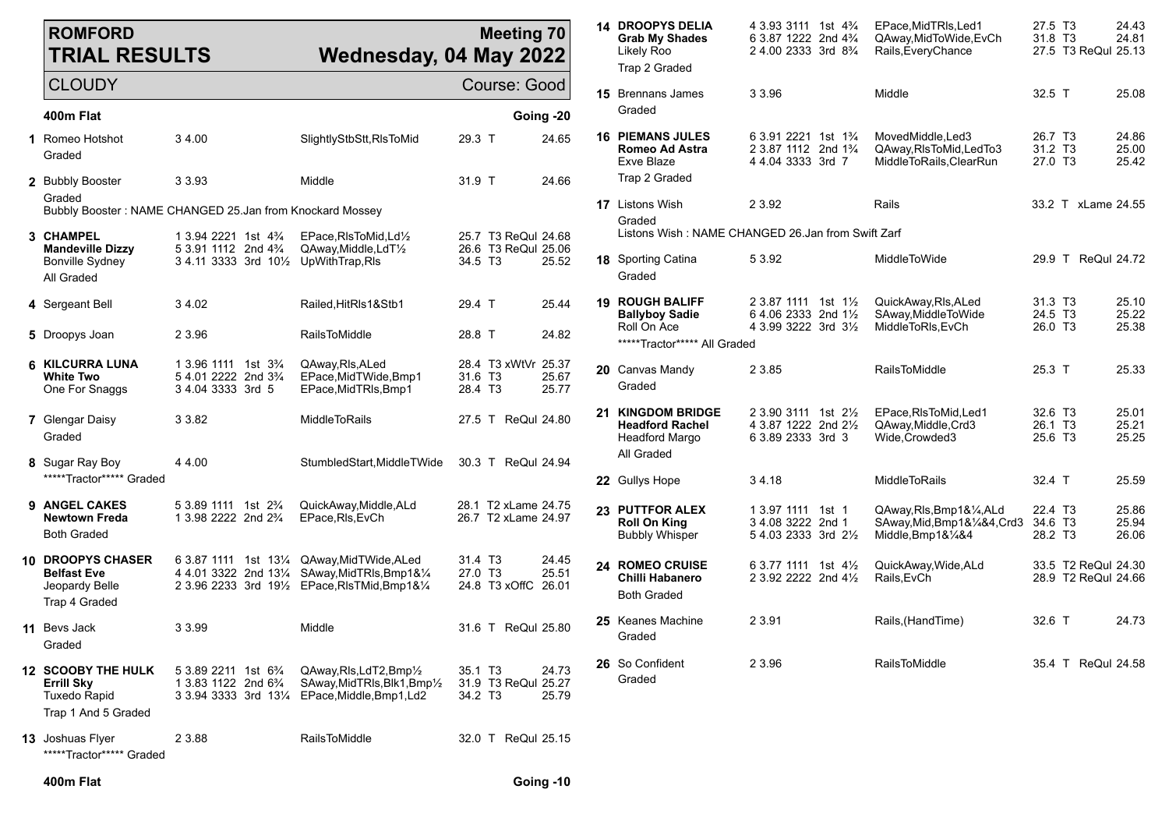| <b>ROMFORD</b><br><b>TRIAL RESULTS</b>                                                | <b>Meeting 70</b><br>Wednesday, 04 May 2022                                                                                                                                                                                            |                                                                                                                                                     |                                                       | <b>14 DROOPYS DELIA</b><br><b>Grab My Shades</b><br>Likely Roo<br>Trap 2 Graded | 4 3.93 3111 1st 4 <sup>3</sup> / <sub>4</sub><br>6 3.87 1222 2nd 4 <sup>3</sup> / <sub>4</sub><br>2 4.00 2333 3rd 8 <sup>3</sup> / <sub>4</sub> | EPace, MidTRIs, Led1<br>QAway, MidToWide, EvCh<br>Rails, Every Chance | 27.5 T3<br>31.8 T3                                                                                                  | 27.5 T3 ReQul 25.13                                                             | 24.43<br>24.81                                                    |                                            |                         |  |  |
|---------------------------------------------------------------------------------------|----------------------------------------------------------------------------------------------------------------------------------------------------------------------------------------------------------------------------------------|-----------------------------------------------------------------------------------------------------------------------------------------------------|-------------------------------------------------------|---------------------------------------------------------------------------------|-------------------------------------------------------------------------------------------------------------------------------------------------|-----------------------------------------------------------------------|---------------------------------------------------------------------------------------------------------------------|---------------------------------------------------------------------------------|-------------------------------------------------------------------|--------------------------------------------|-------------------------|--|--|
| <b>CLOUDY</b>                                                                         |                                                                                                                                                                                                                                        |                                                                                                                                                     | Course: Good                                          |                                                                                 |                                                                                                                                                 | <b>15</b> Brennans James                                              | 3 3 9 6                                                                                                             | Middle                                                                          | $32.5$ T                                                          |                                            | 25.08                   |  |  |
| 400m Flat                                                                             |                                                                                                                                                                                                                                        |                                                                                                                                                     |                                                       | Going -20                                                                       |                                                                                                                                                 | Graded                                                                |                                                                                                                     |                                                                                 |                                                                   |                                            |                         |  |  |
| 1 Romeo Hotshot<br>Graded                                                             | 3 4.00                                                                                                                                                                                                                                 | SlightlyStbStt,RIsToMid                                                                                                                             | 29.3 T                                                | 24.65                                                                           |                                                                                                                                                 | <b>16 PIEMANS JULES</b><br>Romeo Ad Astra<br>Exve Blaze               | 6 3.91 2221 1st 1 <sup>3</sup> / <sub>4</sub><br>2 3.87 1112 2nd 1 <sup>3</sup> / <sub>4</sub><br>4 4.04 3333 3rd 7 | MovedMiddle, Led3<br>QAway, RIsToMid, LedTo3<br>MiddleToRails, ClearRun         | 26.7 T <sub>3</sub><br>31.2 T3<br>27.0 T3                         |                                            | 24.86<br>25.00<br>25.42 |  |  |
| 2 Bubbly Booster<br>Graded                                                            | 3 3.93                                                                                                                                                                                                                                 | Middle                                                                                                                                              | 31.9 T                                                | 24.66                                                                           |                                                                                                                                                 | Trap 2 Graded<br><b>17</b> Listons Wish                               | 2 3.92                                                                                                              | Rails                                                                           |                                                                   | 33.2 T xLame 24.55                         |                         |  |  |
| Bubbly Booster: NAME CHANGED 25.Jan from Knockard Mossey                              |                                                                                                                                                                                                                                        |                                                                                                                                                     |                                                       |                                                                                 |                                                                                                                                                 | Graded                                                                |                                                                                                                     |                                                                                 |                                                                   |                                            |                         |  |  |
| 3 CHAMPEL<br><b>Mandeville Dizzy</b>                                                  | 25.7 T3 ReQul 24.68<br>1 3.94 2221 1st 4 <sup>3</sup> / <sub>4</sub><br>EPace, RIs To Mid, Ld <sup>1</sup> / <sub>2</sub><br>5 3.91 1112 2nd 4 <sup>3</sup> / <sub>4</sub><br>26.6 T3 ReQul 25.06<br>$Q$ Away,Middle,LdT $\frac{1}{2}$ |                                                                                                                                                     |                                                       |                                                                                 |                                                                                                                                                 | Listons Wish: NAME CHANGED 26.Jan from Swift Zarf                     |                                                                                                                     |                                                                                 |                                                                   |                                            |                         |  |  |
| <b>Bonville Sydney</b><br>All Graded                                                  | 3 4.11 3333 3rd 10 <sup>1</sup> / <sub>2</sub> UpWithTrap, RIs                                                                                                                                                                         |                                                                                                                                                     | 34.5 T3                                               | 25.52                                                                           |                                                                                                                                                 | <b>18</b> Sporting Catina<br>Graded                                   | 5 3.92                                                                                                              | <b>MiddleToWide</b>                                                             |                                                                   | 29.9 T ReQul 24.72                         |                         |  |  |
| 4 Sergeant Bell                                                                       | 34.02                                                                                                                                                                                                                                  | Railed.HitRIs1&Stb1                                                                                                                                 | 29.4 T                                                | 25.44                                                                           |                                                                                                                                                 | <b>19 ROUGH BALIFF</b><br><b>Ballyboy Sadie</b><br>Roll On Ace        | 2 3.87 1111 1st 11/2<br>6 4.06 2333 2nd $1\frac{1}{2}$<br>4 3.99 3222 3rd 31/2                                      | QuickAway,RIs,ALed<br>SAway, Middle To Wide<br>MiddleToRIs, EvCh                | 31.3 T <sub>3</sub><br>24.5 T3<br>26.0 T3                         |                                            | 25.10<br>25.22<br>25.38 |  |  |
| 5 Droopys Joan                                                                        | 2 3.96                                                                                                                                                                                                                                 | <b>RailsToMiddle</b>                                                                                                                                | 28.8 T                                                | 24.82                                                                           |                                                                                                                                                 | *****Tractor***** All Graded                                          |                                                                                                                     |                                                                                 |                                                                   |                                            |                         |  |  |
| <b>6 KILCURRA LUNA</b><br><b>White Two</b><br>One For Snaggs                          | 1 3.96 1111 1st 3 <sup>3</sup> / <sub>4</sub><br>5 4.01 2222 2nd 3 <sup>3</sup> / <sub>4</sub><br>3 4.04 3333 3rd 5                                                                                                                    | QAway, RIs, ALed<br>EPace, MidTWide, Bmp1<br>EPace, MidTRIs, Bmp1                                                                                   | 28.4 T3 xWtVr 25.37<br>31.6 T3<br>28.4 T3             | 25.67<br>25.77                                                                  |                                                                                                                                                 | <b>20</b> Canvas Mandy<br>Graded                                      | 2 3.85                                                                                                              | RailsToMiddle                                                                   | 25.3 T                                                            |                                            | 25.33                   |  |  |
| <b>7</b> Glengar Daisy<br>Graded                                                      | 3 3.82                                                                                                                                                                                                                                 | MiddleToRails                                                                                                                                       | 27.5 T ReQul 24.80                                    |                                                                                 |                                                                                                                                                 | 21 KINGDOM BRIDGE<br><b>Headford Rachel</b><br><b>Headford Margo</b>  | 2 3.90 3111 1st 2%<br>4 3.87 1222 2nd 21/2<br>6 3.89 2333 3rd 3                                                     | EPace, RIsToMid, Led1<br>QAway, Middle, Crd3<br>Wide, Crowded 3                 | 32.6 T <sub>3</sub><br>26.1 T <sub>3</sub><br>25.6 T <sub>3</sub> |                                            | 25.01<br>25.21<br>25.25 |  |  |
| 8 Sugar Ray Boy                                                                       | 4 4.00                                                                                                                                                                                                                                 | StumbledStart, MiddleTWide                                                                                                                          | 30.3 T ReQui 24.94                                    |                                                                                 |                                                                                                                                                 | All Graded                                                            |                                                                                                                     |                                                                                 |                                                                   |                                            |                         |  |  |
| *****Tractor***** Graded                                                              |                                                                                                                                                                                                                                        |                                                                                                                                                     |                                                       |                                                                                 |                                                                                                                                                 | 22 Gullys Hope                                                        | 34.18                                                                                                               | MiddleToRails                                                                   | 32.4 T                                                            |                                            | 25.59                   |  |  |
| 9 ANGEL CAKES<br><b>Newtown Freda</b><br><b>Both Graded</b>                           | 5 3.89 1111 1st 2 <sup>3</sup> / <sub>4</sub><br>1 3.98 2222 2nd 2 <sup>3</sup> / <sub>4</sub>                                                                                                                                         | QuickAway, Middle, ALd<br>EPace, RIs, EvCh                                                                                                          | 28.1 T2 xLame 24.75<br>26.7 T2 xLame 24.97            |                                                                                 |                                                                                                                                                 | 23 PUTTFOR ALEX<br><b>Roll On King</b><br><b>Bubbly Whisper</b>       | 1 3.97 1111 1st 1<br>3 4.08 3222 2nd 1<br>5 4.03 2333 3rd 21/2                                                      | QAway, RIs, Bmp1&1/4, ALd<br>SAway, Mid, Bmp1&1/4&4, Crd3<br>Middle, Bmp1&1/4&4 | 22.4 T <sub>3</sub><br>34.6 T3<br>28.2 T3                         |                                            | 25.86<br>25.94<br>26.06 |  |  |
| <b>10 DROOPYS CHASER</b><br><b>Belfast Eve</b><br>Jeopardy Belle<br>Trap 4 Graded     |                                                                                                                                                                                                                                        | 6 3.87 1111 1st 131/4 QAway, Mid T Wide, A Led<br>4 4.01 3322 2nd 131/4 SAway, Mid TRIs, Bmp1&1/4<br>2 3.96 2233 3rd 191/2 EPace, RIsTMid, Bmp1&1/4 | 31.4 T <sub>3</sub><br>27.0 T3<br>24.8 T3 xOffC 26.01 | 24.45<br>25.51                                                                  |                                                                                                                                                 | 24 ROMEO CRUISE<br><b>Chilli Habanero</b><br><b>Both Graded</b>       | 6 3.77 1111 1st 41/ <sub>2</sub><br>2 3.92 2222 2nd 41/2                                                            | QuickAway, Wide, ALd<br>Rails, EvCh                                             |                                                                   | 33.5 T2 ReQul 24.30<br>28.9 T2 ReQul 24.66 |                         |  |  |
| <b>11</b> Bevs Jack<br>Graded                                                         | 3 3.99                                                                                                                                                                                                                                 | Middle                                                                                                                                              | 31.6 T ReQul 25.80                                    |                                                                                 |                                                                                                                                                 | 25 Keanes Machine<br>Graded                                           | 2 3.91                                                                                                              | Rails, (HandTime)                                                               | 32.6 T                                                            |                                            | 24.73                   |  |  |
| <b>12 SCOOBY THE HULK</b><br>Errill Sky<br><b>Tuxedo Rapid</b><br>Trap 1 And 5 Graded | 5 3.89 2211 1st 6 <sup>3</sup> / <sub>4</sub><br>1 3.83 1122 2nd 6 <sup>3</sup> / <sub>4</sub>                                                                                                                                         | QAway, RIs, LdT2, Bmp <sup>1</sup> / <sub>2</sub><br>SAway, MidTRIs, Blk1, Bmp1/2<br>3 3.94 3333 3rd 131/4 EPace, Middle, Bmp1, Ld2                 | 35.1 T3<br>31.9 T3 ReQul 25.27<br>34.2 T3             | 24.73<br>25.79                                                                  |                                                                                                                                                 | 26 So Confident<br>Graded                                             | 2 3.96                                                                                                              | RailsToMiddle                                                                   |                                                                   | 35.4 T ReQui 24.58                         |                         |  |  |
| 13 Joshuas Flyer<br>*****Tractor***** Graded                                          | 2 3.88                                                                                                                                                                                                                                 | RailsToMiddle                                                                                                                                       | 32.0 T ReQul 25.15                                    |                                                                                 |                                                                                                                                                 |                                                                       |                                                                                                                     |                                                                                 |                                                                   |                                            |                         |  |  |